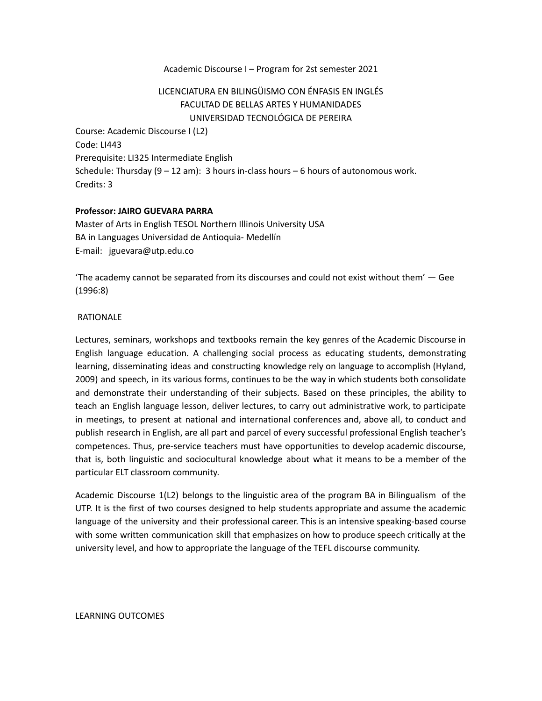## Academic Discourse I – Program for 2st semester 2021

# LICENCIATURA EN BILINGÜISMO CON ÉNFASIS EN INGLÉS FACULTAD DE BELLAS ARTES Y HUMANIDADES UNIVERSIDAD TECNOLÓGICA DE PEREIRA

Course: Academic Discourse I (L2) Code: LI443 Prerequisite: LI325 Intermediate English Schedule: Thursday  $(9 - 12 \text{ am})$ : 3 hours in-class hours – 6 hours of autonomous work. Credits: 3

### **Professor: JAIRO GUEVARA PARRA**

Master of Arts in English TESOL Northern Illinois University USA BA in Languages Universidad de Antioquia- Medellín E-mail: jguevara@utp.edu.co

'The academy cannot be separated from its discourses and could not exist without them' — Gee (1996:8)

#### RATIONALE

Lectures, seminars, workshops and textbooks remain the key genres of the Academic Discourse in English language education. A challenging social process as educating students, demonstrating learning, disseminating ideas and constructing knowledge rely on language to accomplish (Hyland, 2009) and speech, in its various forms, continues to be the way in which students both consolidate and demonstrate their understanding of their subjects. Based on these principles, the ability to teach an English language lesson, deliver lectures, to carry out administrative work, to participate in meetings, to present at national and international conferences and, above all, to conduct and publish research in English, are all part and parcel of every successful professional English teacher's competences. Thus, pre-service teachers must have opportunities to develop academic discourse, that is, both linguistic and sociocultural knowledge about what it means to be a member of the particular ELT classroom community.

Academic Discourse 1(L2) belongs to the linguistic area of the program BA in Bilingualism of the UTP. It is the first of two courses designed to help students appropriate and assume the academic language of the university and their professional career. This is an intensive speaking-based course with some written communication skill that emphasizes on how to produce speech critically at the university level, and how to appropriate the language of the TEFL discourse community.

#### LEARNING OUTCOMES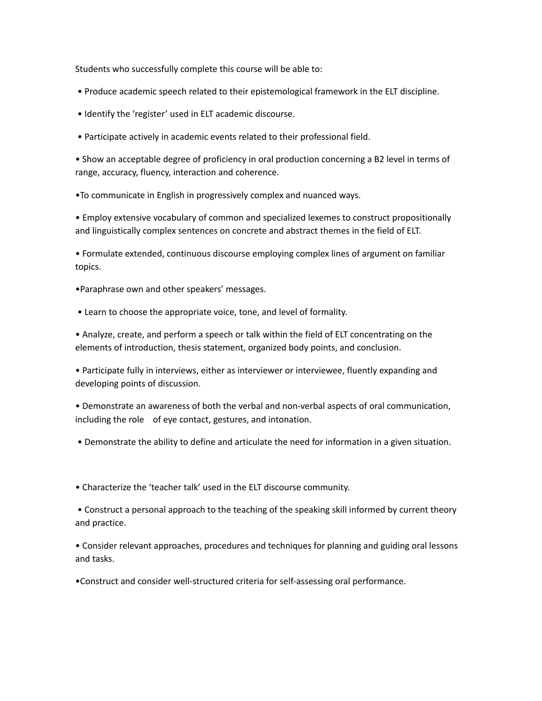Students who successfully complete this course will be able to:

- Produce academic speech related to their epistemological framework in the ELT discipline.
- Identify the 'register' used in ELT academic discourse.
- Participate actively in academic events related to their professional field.

• Show an acceptable degree of proficiency in oral production concerning a B2 level in terms of range, accuracy, fluency, interaction and coherence.

•To communicate in English in progressively complex and nuanced ways.

• Employ extensive vocabulary of common and specialized lexemes to construct propositionally and linguistically complex sentences on concrete and abstract themes in the field of ELT.

• Formulate extended, continuous discourse employing complex lines of argument on familiar topics.

- •Paraphrase own and other speakers' messages.
- Learn to choose the appropriate voice, tone, and level of formality.

• Analyze, create, and perform a speech or talk within the field of ELT concentrating on the elements of introduction, thesis statement, organized body points, and conclusion.

• Participate fully in interviews, either as interviewer or interviewee, fluently expanding and developing points of discussion.

• Demonstrate an awareness of both the verbal and non-verbal aspects of oral communication, including the role of eye contact, gestures, and intonation.

• Demonstrate the ability to define and articulate the need for information in a given situation.

• Characterize the 'teacher talk' used in the ELT discourse community.

• Construct a personal approach to the teaching of the speaking skill informed by current theory and practice.

• Consider relevant approaches, procedures and techniques for planning and guiding oral lessons and tasks.

•Construct and consider well-structured criteria for self-assessing oral performance.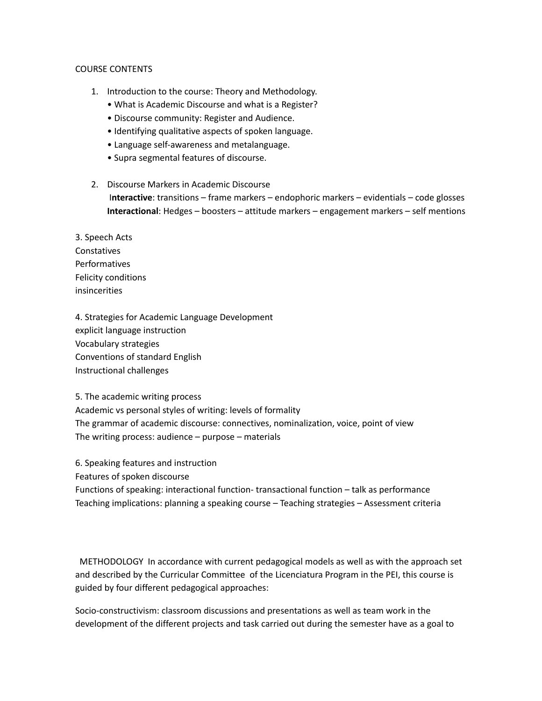## COURSE CONTENTS

- 1. Introduction to the course: Theory and Methodology.
	- What is Academic Discourse and what is a Register?
	- Discourse community: Register and Audience.
	- Identifying qualitative aspects of spoken language.
	- Language self-awareness and metalanguage.
	- Supra segmental features of discourse.
- 2. Discourse Markers in Academic Discourse I**nteractive**: transitions – frame markers – endophoric markers – evidentials – code glosses **Interactional**: Hedges – boosters – attitude markers – engagement markers – self mentions

3. Speech Acts Constatives Performatives Felicity conditions insincerities

4. Strategies for Academic Language Development explicit language instruction Vocabulary strategies Conventions of standard English Instructional challenges

5. The academic writing process Academic vs personal styles of writing: levels of formality The grammar of academic discourse: connectives, nominalization, voice, point of view The writing process: audience – purpose – materials

6. Speaking features and instruction

Features of spoken discourse

Functions of speaking: interactional function- transactional function – talk as performance Teaching implications: planning a speaking course – Teaching strategies – Assessment criteria

METHODOLOGY In accordance with current pedagogical models as well as with the approach set and described by the Curricular Committee of the Licenciatura Program in the PEI, this course is guided by four different pedagogical approaches:

Socio-constructivism: classroom discussions and presentations as well as team work in the development of the different projects and task carried out during the semester have as a goal to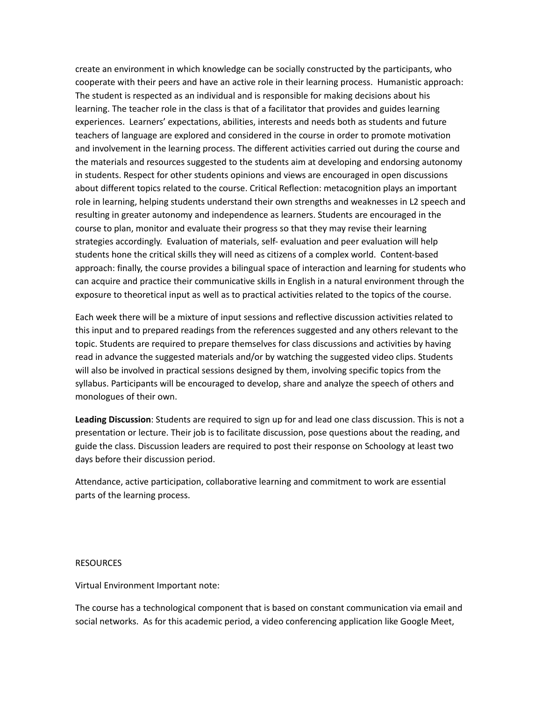create an environment in which knowledge can be socially constructed by the participants, who cooperate with their peers and have an active role in their learning process. Humanistic approach: The student is respected as an individual and is responsible for making decisions about his learning. The teacher role in the class is that of a facilitator that provides and guides learning experiences. Learners' expectations, abilities, interests and needs both as students and future teachers of language are explored and considered in the course in order to promote motivation and involvement in the learning process. The different activities carried out during the course and the materials and resources suggested to the students aim at developing and endorsing autonomy in students. Respect for other students opinions and views are encouraged in open discussions about different topics related to the course. Critical Reflection: metacognition plays an important role in learning, helping students understand their own strengths and weaknesses in L2 speech and resulting in greater autonomy and independence as learners. Students are encouraged in the course to plan, monitor and evaluate their progress so that they may revise their learning strategies accordingly. Evaluation of materials, self- evaluation and peer evaluation will help students hone the critical skills they will need as citizens of a complex world. Content-based approach: finally, the course provides a bilingual space of interaction and learning for students who can acquire and practice their communicative skills in English in a natural environment through the exposure to theoretical input as well as to practical activities related to the topics of the course.

Each week there will be a mixture of input sessions and reflective discussion activities related to this input and to prepared readings from the references suggested and any others relevant to the topic. Students are required to prepare themselves for class discussions and activities by having read in advance the suggested materials and/or by watching the suggested video clips. Students will also be involved in practical sessions designed by them, involving specific topics from the syllabus. Participants will be encouraged to develop, share and analyze the speech of others and monologues of their own.

**Leading Discussion**: Students are required to sign up for and lead one class discussion. This is not a presentation or lecture. Their job is to facilitate discussion, pose questions about the reading, and guide the class. Discussion leaders are required to post their response on Schoology at least two days before their discussion period.

Attendance, active participation, collaborative learning and commitment to work are essential parts of the learning process.

## RESOURCES

Virtual Environment Important note:

The course has a technological component that is based on constant communication via email and social networks. As for this academic period, a video conferencing application like Google Meet,